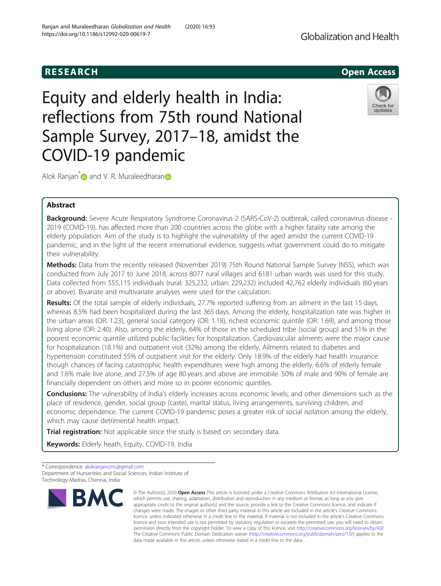# Equity and elderly health in India: reflections from 75th round National Sample Survey, 2017–18, amidst the COVID-19 pandemic



Alok Ranjan<sup>\*</sup> and V. R. Muraleedharan

# Abstract

Background: Severe Acute Respiratory Syndrome Coronavirus-2 (SARS-CoV-2) outbreak, called coronavirus disease -2019 (COVID-19), has affected more than 200 countries across the globe with a higher fatality rate among the elderly population. Aim of the study is to highlight the vulnerability of the aged amidst the current COVID-19 pandemic, and in the light of the recent international evidence, suggests what government could do to mitigate their vulnerability.

Methods: Data from the recently released (November 2019) 75th Round National Sample Survey (NSS), which was conducted from July 2017 to June 2018, across 8077 rural villages and 6181 urban wards was used for this study. Data collected from 555,115 individuals (rural: 325,232; urban: 229,232) included 42,762 elderly individuals (60 years or above). Bivariate and multivariate analyses were used for the calculation.

Results: Of the total sample of elderly individuals, 27.7% reported suffering from an ailment in the last 15 days, whereas 8.5% had been hospitalized during the last 365 days. Among the elderly, hospitalization rate was higher in the urban areas (OR: 1.23), general social category (OR: 1.18), richest economic quintile (OR: 1.69), and among those living alone (OR: 2.40). Also, among the elderly, 64% of those in the scheduled tribe (social group) and 51% in the poorest economic quintile utilized public facilities for hospitalization. Cardiovascular ailments were the major cause for hospitalization (18.1%) and outpatient visit (32%) among the elderly. Ailments related to diabetes and hypertension constituted 55% of outpatient visit for the elderly. Only 18.9% of the elderly had health insurance though chances of facing catastrophic health expenditures were high among the elderly. 6.6% of elderly female and 1.6% male live alone, and 27.5% of age 80 years and above are immobile. 50% of male and 90% of female are financially dependent on others and more so in poorer economic quintiles.

**Conclusions:** The vulnerability of India's elderly increases across economic levels, and other dimensions such as the place of residence, gender, social group (caste), marital status, living arrangements, surviving children, and economic dependence. The current COVID-19 pandemic poses a greater risk of social isolation among the elderly, which may cause detrimental health impact.

Trial registration: Not applicable since the study is based on secondary data.

Keywords: Elderly heath, Equity, COVID-19, India

\* Correspondence: [alokranjancmc@gmail.com](mailto:alokranjancmc@gmail.com) Department of Humanities and Social Sciences, Indian Institute of Technology-Madras, Chennai, India



<sup>©</sup> The Author(s), 2020 **Open Access** This article is licensed under a Creative Commons Attribution 4.0 International License, which permits use, sharing, adaptation, distribution and reproduction in any medium or format, as long as you give appropriate credit to the original author(s) and the source, provide a link to the Creative Commons licence, and indicate if changes were made. The images or other third party material in this article are included in the article's Creative Commons licence, unless indicated otherwise in a credit line to the material. If material is not included in the article's Creative Commons licence and your intended use is not permitted by statutory regulation or exceeds the permitted use, you will need to obtain permission directly from the copyright holder. To view a copy of this licence, visit [http://creativecommons.org/licenses/by/4.0/.](http://creativecommons.org/licenses/by/4.0/) The Creative Commons Public Domain Dedication waiver [\(http://creativecommons.org/publicdomain/zero/1.0/](http://creativecommons.org/publicdomain/zero/1.0/)) applies to the data made available in this article, unless otherwise stated in a credit line to the data.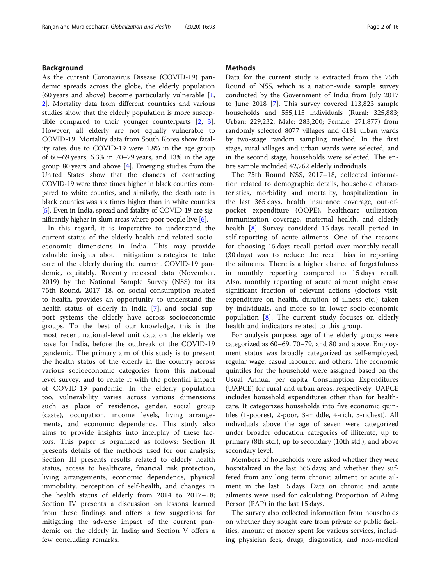# Background

As the current Coronavirus Disease (COVID-19) pandemic spreads across the globe, the elderly population (60 years and above) become particularly vulnerable [\[1](#page-14-0), [2\]](#page-14-0). Mortality data from different countries and various studies show that the elderly population is more susceptible compared to their younger counterparts [\[2](#page-14-0), [3](#page-14-0)]. However, all elderly are not equally vulnerable to COVID-19. Mortality data from South Korea show fatality rates due to COVID-19 were 1.8% in the age group of 60–69 years, 6.3% in 70–79 years, and 13% in the age group 80 years and above  $[4]$  $[4]$ . Emerging studies from the United States show that the chances of contracting COVID-19 were three times higher in black counties compared to white counties, and similarly, the death rate in black counties was six times higher than in white counties [[5](#page-14-0)]. Even in India, spread and fatality of COVID-19 are significantly higher in slum areas where poor people live [[6](#page-14-0)].

In this regard, it is imperative to understand the current status of the elderly health and related socioeconomic dimensions in India. This may provide valuable insights about mitigation strategies to take care of the elderly during the current COVID-19 pandemic, equitably. Recently released data (November. 2019) by the National Sample Survey (NSS) for its 75th Round, 2017–18, on social consumption related to health, provides an opportunity to understand the health status of elderly in India [\[7](#page-14-0)], and social support systems the elderly have across socioeconomic groups. To the best of our knowledge, this is the most recent national-level unit data on the elderly we have for India, before the outbreak of the COVID-19 pandemic. The primary aim of this study is to present the health status of the elderly in the country across various socioeconomic categories from this national level survey, and to relate it with the potential impact of COVID-19 pandemic. In the elderly population too, vulnerability varies across various dimensions such as place of residence, gender, social group (caste), occupation, income levels, living arrangements, and economic dependence. This study also aims to provide insights into interplay of these factors. This paper is organized as follows: Section II presents details of the methods used for our analysis; Section III presents results related to elderly health status, access to healthcare, financial risk protection, living arrangements, economic dependence, physical immobility, perception of self-health, and changes in the health status of elderly from 2014 to 2017–18; Section IV presents a discussion on lessons learned from these findings and offers a few suggetions for mitigating the adverse impact of the current pandemic on the elderly in India; and Section V offers a few concluding remarks.

# **Methods**

Data for the current study is extracted from the 75th Round of NSS, which is a nation-wide sample survey conducted by the Government of India from July 2017 to June 2018 [\[7](#page-14-0)]. This survey covered 113,823 sample households and 555,115 individuals (Rural: 325,883; Urban: 229,232; Male: 283,200; Female: 271,877) from randomly selected 8077 villages and 6181 urban wards by two-stage random sampling method. In the first stage, rural villages and urban wards were selected, and in the second stage, households were selected. The entire sample included 42,762 elderly individuals.

The 75th Round NSS, 2017–18, collected information related to demographic details, household characteristics, morbidity and mortality, hospitalization in the last 365 days, health insurance coverage, out-ofpocket expenditure (OOPE), healthcare utilization, immunization coverage, maternal health, and elderly health [\[8](#page-14-0)]. Survey considerd 15 days recall period in self-reporting of acute ailments. One of the reasons for choosing 15 days recall period over monthly recall (30 days) was to reduce the recall bias in reporting the ailments. There is a higher chance of forgetfulness in monthly reporting compared to 15 days recall. Also, monthly reporting of acute ailment might erase significant fraction of relevant actions (doctors visit, expenditure on health, duration of illness etc.) taken by individuals, and more so in lower socio-economic population  $[8]$  $[8]$ . The current study focuses on elderly health and indicators related to this group.

For analysis purpose, age of the elderly groups were categorized as 60–69, 70–79, and 80 and above. Employment status was broadly categorized as self-employed, regular wage, casual labourer, and others. The economic quintiles for the household were assigned based on the Usual Annual per capita Consumption Expenditures (UAPCE) for rural and urban areas, respectively. UAPCE includes household expenditures other than for healthcare. It categorizes households into five economic quintiles (1-poorest, 2-poor, 3-middle, 4-rich, 5-richest). All individuals above the age of seven were categorized under broader education categories of illiterate, up to primary (8th std.), up to secondary (10th std.), and above secondary level.

Members of households were asked whether they were hospitalized in the last 365 days; and whether they suffered from any long term chronic ailment or acute ailment in the last 15 days. Data on chronic and acute ailments were used for calculating Proportion of Ailing Person (PAP) in the last 15 days.

The survey also collected information from households on whether they sought care from private or public facilities, amount of money spent for various services, including physician fees, drugs, diagnostics, and non-medical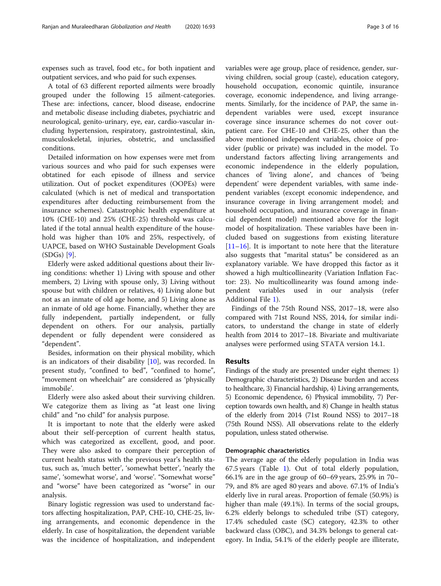expenses such as travel, food etc., for both inpatient and outpatient services, and who paid for such expenses.

A total of 63 different reported ailments were broadly grouped under the following 15 ailment-categories. These are: infections, cancer, blood disease, endocrine and metabolic disease including diabetes, psychiatric and neurological, genito-urinary, eye, ear, cardio-vascular including hypertension, respiratory, gastrointestinal, skin, musculoskeletal, injuries, obstetric, and unclassified conditions.

Detailed information on how expenses were met from various sources and who paid for such expenses were obtatined for each episode of illness and service utilization. Out of pocket expenditures (OOPEs) were calculated (which is net of medical and transportation expenditures after deducting reimbursement from the insurance schemes). Catastrophic health expenditure at 10% (CHE-10) and 25% (CHE-25) threshold was calculated if the total annual health expenditure of the household was higher than 10% and 25%, respectively, of UAPCE, based on WHO Sustainable Development Goals (SDGs) [\[9](#page-14-0)].

Elderly were asked additional questions about their living conditions: whether 1) Living with spouse and other members, 2) Living with spouse only, 3) Living without spouse but with children or relatives, 4) Living alone but not as an inmate of old age home, and 5) Living alone as an inmate of old age home. Financially, whether they are fully independent, partially independent, or fully dependent on others. For our analysis, partially dependent or fully dependent were considered as "dependent".

Besides, information on their physical mobility, which is an indicators of their disability  $[10]$  $[10]$ , was recorded. In present study, "confined to bed", "confined to home", "movement on wheelchair" are considered as 'physically immobile'.

Elderly were also asked about their surviving children. We categorize them as living as "at least one living child" and "no child" for analysis purpose.

It is important to note that the elderly were asked about their self-perception of current health status, which was categorized as excellent, good, and poor. They were also asked to compare their perception of current health status with the previous year's health status, such as, 'much better', 'somewhat better', 'nearly the same', 'somewhat worse', and 'worse'. "Somewhat worse" and "worse" have been categorized as "worse" in our analysis.

Binary logistic regression was used to understand factors affecting hospitalization, PAP, CHE-10, CHE-25, living arrangements, and economic dependence in the elderly. In case of hospitalization, the dependent variable was the incidence of hospitalization, and independent variables were age group, place of residence, gender, surviving children, social group (caste), education category, household occupation, economic quintile, insurance coverage, economic independence, and living arrangements. Similarly, for the incidence of PAP, the same independent variables were used, except insurance coverage since insurance schemes do not cover outpatient care. For CHE-10 and CHE-25, other than the above mentioned independent variables, choice of provider (public or private) was included in the model. To understand factors affecting living arrangements and economic independence in the elderly population, chances of 'living alone', and chances of 'being dependent' were dependent variables, with same independent variables (except economic independence, and insurance coverage in living arrangement model; and household occupation, and insurance coverage in financial dependent model) mentioned above for the logit model of hospitalization. These variables have been included based on suggestions from existing literature [[11](#page-14-0)–[16](#page-15-0)]. It is important to note here that the literature also suggests that "marital status" be considered as an explanatory variable. We have dropped this factor as it showed a high multicollinearity (Variation Inflation Factor: 23). No multicollinearity was found among independent variables used in our analysis (refer Additional File [1](#page-14-0)).

Findings of the 75th Round NSS, 2017–18, were also compared with 71st Round NSS, 2014, for similar indicators, to understand the change in state of elderly health from 2014 to 2017–18. Bivariate and multivariate analyses were performed using STATA version 14.1.

## Results

Findings of the study are presented under eight themes: 1) Demographic characteristics, 2) Disease burden and access to healthcare, 3) Financial hardship, 4) Living arrangements, 5) Economic dependence, 6) Physical immobility, 7) Perception towards own health, and 8) Change in health status of the elderly from 2014 (71st Round NSS) to 2017–18 (75th Round NSS). All observations relate to the elderly population, unless stated otherwise.

## Demographic characteristics

The average age of the elderly population in India was 67.5 years (Table [1](#page-3-0)). Out of total elderly population, 66.1% are in the age group of 60–69 years, 25.9% in 70– 79, and 8% are aged 80 years and above. 67.1% of India's elderly live in rural areas. Proportion of female (50.9%) is higher than male (49.1%). In terms of the social groups, 6.2% elderly belongs to scheduled tribe (ST) category, 17.4% scheduled caste (SC) category, 42.3% to other backward class (OBC), and 34.3% belongs to general category. In India, 54.1% of the elderly people are illiterate,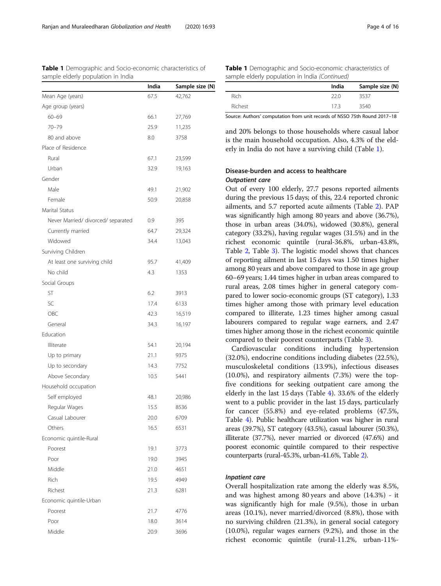|                                    | India | Sample size (N) |
|------------------------------------|-------|-----------------|
| Mean Age (years)                   | 67.5  | 42,762          |
| Age group (years)                  |       |                 |
| $60 - 69$                          | 66.1  | 27,769          |
| 70-79                              | 25.9  | 11,235          |
| 80 and above                       | 8.0   | 3758            |
| Place of Residence                 |       |                 |
| Rural                              | 67.1  | 23,599          |
| Urban                              | 32.9  | 19,163          |
| Gender                             |       |                 |
| Male                               | 49.1  | 21,902          |
| Female                             | 50.9  | 20,858          |
| Marital Status                     |       |                 |
| Never Married/ divorced/ separated | 0.9   | 395             |
| Currently married                  | 64.7  | 29,324          |
| Widowed                            | 34.4  | 13,043          |
| Surviving Children                 |       |                 |
| At least one surviving child       | 95.7  | 41,409          |
| No child                           | 4.3   | 1353            |
| Social Groups                      |       |                 |
| ST                                 | 6.2   | 3913            |
| SC                                 | 17.4  | 6133            |
| OBC                                | 42.3  | 16,519          |
| General                            | 34.3  | 16,197          |
| Education                          |       |                 |
| Illiterate                         | 54.1  | 20,194          |
| Up to primary                      | 21.1  | 9375            |
| Up to secondary                    | 14.3  | 7752            |
| Above Secondary                    | 10.5  | 5441            |
| Household occupation               |       |                 |
| Self employed                      | 48.1  | 20,986          |
| Regular Wages                      | 15.5  | 8536            |
| Casual Labourer                    | 20.0  | 6709            |
| Others                             | 16.5  | 6531            |
| Economic quintile-Rural            |       |                 |
| Poorest                            | 19.1  | 3773            |
| Poor                               | 19.0  | 3945            |

Middle 21.0 4651 Rich 19.5 4949 Richest 21.3 6281

Poorest 21.7 4776 Poor 18.0 3614 Middle 20.9 3696

Economic quintile-Urban

<span id="page-3-0"></span>Table 1 Demographic and Socio-economic characteristics of

| <b>Table 1</b> Demographic and Socio-economic characteristics of |  |
|------------------------------------------------------------------|--|
| sample elderly population in India (Continued)                   |  |

|         | India | Sample size (N) |
|---------|-------|-----------------|
| Rich    | 22 O  | 3537            |
| Richest | 173   | 3540            |

Source: Authors' computation from unit records of NSSO 75th Round 2017–18

and 20% belongs to those households where casual labor is the main household occupation. Also, 4.3% of the elderly in India do not have a surviving child (Table 1).

# Disease-burden and access to healthcare Outpatient care

Out of every 100 elderly, 27.7 pesons reported ailments during the previous 15 days; of this, 22.4 reported chronic ailments, and 5.7 reported acute ailments (Table [2\)](#page-4-0). PAP was significantly high among 80 years and above (36.7%), those in urban areas (34.0%), widowed (30.8%), general category (33.2%), having regular wages (31.5%) and in the richest economic quintile (rural-36.8%, urban-43.8%, Table [2,](#page-4-0) Table [3\)](#page-6-0). The logistic model shows that chances of reporting ailment in last 15 days was 1.50 times higher among 80 years and above compared to those in age group 60–69 years; 1.44 times higher in urban areas compared to rural areas, 2.08 times higher in general category compared to lower socio-economic groups (ST category), 1.33 times higher among those with primary level education compared to illiterate, 1.23 times higher among casual labourers compared to regular wage earners, and 2.47 times higher among those in the richest economic quintile compared to their poorest counterparts (Table [3](#page-6-0)).

Cardiovascular conditions including hypertension (32.0%), endocrine conditions including diabetes (22.5%), musculoskeletal conditions (13.9%), infectious diseases (10.0%), and respiratory ailments (7.3%) were the topfive conditions for seeking outpatient care among the elderly in the last 15 days (Table [4\)](#page-8-0). 33.6% of the elderly went to a public provider in the last 15 days, particularly for cancer (55.8%) and eye-related problems (47.5%, Table [4\)](#page-8-0). Public healthcare utilization was higher in rural areas (39.7%), ST category (43.5%), casual labourer (50.3%), illiterate (37.7%), never married or divorced (47.6%) and poorest economic quintile compared to their respective counterparts (rural-45.3%, urban-41.6%, Table [2](#page-4-0)).

# Inpatient care

Overall hospitalization rate among the elderly was 8.5%, and was highest among 80 years and above (14.3%) - it was significantly high for male (9.5%), those in urban areas (10.1%), never married/divorced (8.8%), those with no surviving children (21.3%), in general social category (10.0%), regular wages earners (9.2%), and those in the richest economic quintile (rural-11.2%, urban-11%-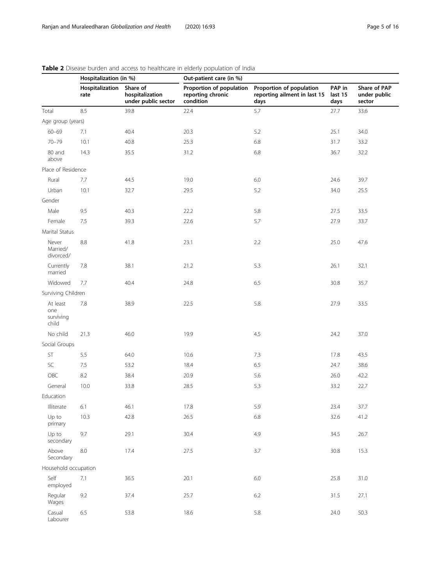|                                       | Hospitalization (in %)  |                                                    | $\mathbf{u}$ is the process of the decess to the difference in electric population of indice<br>Out-patient care (in %) |                                                                  |                           |                                        |  |  |  |  |
|---------------------------------------|-------------------------|----------------------------------------------------|-------------------------------------------------------------------------------------------------------------------------|------------------------------------------------------------------|---------------------------|----------------------------------------|--|--|--|--|
|                                       | Hospitalization<br>rate | Share of<br>hospitalization<br>under public sector | Proportion of population<br>reporting chronic<br>condition                                                              | Proportion of population<br>reporting ailment in last 15<br>days | PAP in<br>last 15<br>days | Share of PAP<br>under public<br>sector |  |  |  |  |
| Total                                 | 8.5                     | 39.8                                               | 22.4                                                                                                                    | 5.7                                                              | 27.7                      | 33.6                                   |  |  |  |  |
| Age group (years)                     |                         |                                                    |                                                                                                                         |                                                                  |                           |                                        |  |  |  |  |
| $60 - 69$                             | 7.1                     | 40.4                                               | 20.3                                                                                                                    | 5.2                                                              | 25.1                      | 34.0                                   |  |  |  |  |
| $70 - 79$                             | 10.1                    | 40.8                                               | 25.3                                                                                                                    | 6.8                                                              | 31.7                      | 33.2                                   |  |  |  |  |
| 80 and<br>above                       | 14.3                    | 35.5                                               | 31.2                                                                                                                    | 6.8                                                              | 36.7                      | 32.2                                   |  |  |  |  |
| Place of Residence                    |                         |                                                    |                                                                                                                         |                                                                  |                           |                                        |  |  |  |  |
| Rural                                 | 7.7                     | 44.5                                               | 19.0                                                                                                                    | 6.0                                                              | 24.6                      | 39.7                                   |  |  |  |  |
| Urban                                 | 10.1                    | 32.7                                               | 29.5                                                                                                                    | 5.2                                                              | 34.0                      | 25.5                                   |  |  |  |  |
| Gender                                |                         |                                                    |                                                                                                                         |                                                                  |                           |                                        |  |  |  |  |
| Male                                  | 9.5                     | 40.3                                               | 22.2                                                                                                                    | 5.8                                                              | 27.5                      | 33.5                                   |  |  |  |  |
| Female                                | 7.5                     | 39.3                                               | 22.6                                                                                                                    | 5.7                                                              | 27.9                      | 33.7                                   |  |  |  |  |
| Marital Status                        |                         |                                                    |                                                                                                                         |                                                                  |                           |                                        |  |  |  |  |
| Never<br>Married/<br>divorced/        | $8.8\,$                 | 41.8                                               | 23.1                                                                                                                    | 2.2                                                              | 25.0                      | 47.6                                   |  |  |  |  |
| Currently<br>married                  | 7.8                     | 38.1                                               | 21.2                                                                                                                    | 5.3                                                              | 26.1                      | 32.1                                   |  |  |  |  |
| Widowed                               | 7.7                     | 40.4                                               | 24.8                                                                                                                    | 6.5                                                              | 30.8                      | 35.7                                   |  |  |  |  |
| Surviving Children                    |                         |                                                    |                                                                                                                         |                                                                  |                           |                                        |  |  |  |  |
| At least<br>one<br>surviving<br>child | 7.8                     | 38.9                                               | 22.5                                                                                                                    | 5.8                                                              | 27.9                      | 33.5                                   |  |  |  |  |
| No child                              | 21.3                    | 46.0                                               | 19.9                                                                                                                    | 4.5                                                              | 24.2                      | 37.0                                   |  |  |  |  |
| Social Groups                         |                         |                                                    |                                                                                                                         |                                                                  |                           |                                        |  |  |  |  |
| ST                                    | 5.5                     | 64.0                                               | 10.6                                                                                                                    | 7.3                                                              | 17.8                      | 43.5                                   |  |  |  |  |
| SC                                    | 7.5                     | 53.2                                               | 18.4                                                                                                                    | 6.5                                                              | 24.7                      | 38.6                                   |  |  |  |  |
| OBC                                   | 8.2                     | 38.4                                               | 20.9                                                                                                                    | 5.6                                                              | 26.0                      | 42.2                                   |  |  |  |  |
| General                               | 10.0                    | 33.8                                               | 28.5                                                                                                                    | 5.3                                                              | 33.2                      | 22.7                                   |  |  |  |  |
| Education                             |                         |                                                    |                                                                                                                         |                                                                  |                           |                                        |  |  |  |  |
| Illiterate                            | 6.1                     | 46.1                                               | 17.8                                                                                                                    | 5.9                                                              | 23.4                      | 37.7                                   |  |  |  |  |
| Up to<br>primary                      | 10.3                    | 42.8                                               | 26.5                                                                                                                    | 6.8                                                              | 32.6                      | 41.2                                   |  |  |  |  |
| Up to<br>secondary                    | 9.7                     | 29.1                                               | 30.4                                                                                                                    | 4.9                                                              | 34.5                      | 26.7                                   |  |  |  |  |
| Above<br>Secondary                    | $8.0\,$                 | 17.4                                               | 27.5                                                                                                                    | 3.7                                                              | 30.8                      | 15.3                                   |  |  |  |  |
| Household occupation                  |                         |                                                    |                                                                                                                         |                                                                  |                           |                                        |  |  |  |  |
| Self<br>employed                      | 7.1                     | 36.5                                               | 20.1                                                                                                                    | $6.0\,$                                                          | 25.8                      | 31.0                                   |  |  |  |  |
| Regular<br>Wages                      | 9.2                     | 37.4                                               | 25.7                                                                                                                    | 6.2                                                              | 31.5                      | 27.1                                   |  |  |  |  |
| Casual<br>Labourer                    | 6.5                     | 53.8                                               | 18.6                                                                                                                    | 5.8                                                              | 24.0                      | 50.3                                   |  |  |  |  |

# <span id="page-4-0"></span>Table 2 Disease burden and access to healthcare in elderly population of India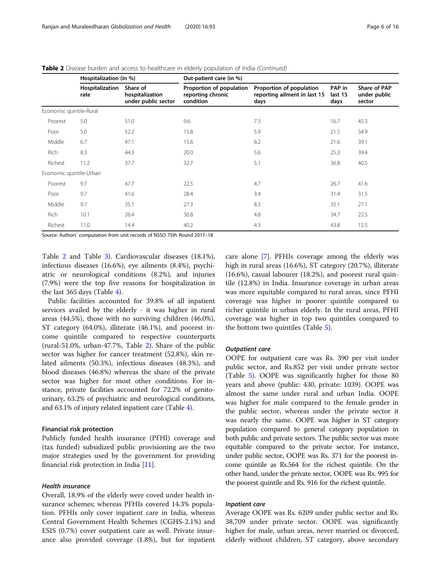|                         | Hospitalization (in %)  |                                                    | Out-patient care (in %)                                    |                                                                  |                           |                                        |  |  |  |
|-------------------------|-------------------------|----------------------------------------------------|------------------------------------------------------------|------------------------------------------------------------------|---------------------------|----------------------------------------|--|--|--|
|                         | Hospitalization<br>rate | Share of<br>hospitalization<br>under public sector | Proportion of population<br>reporting chronic<br>condition | Proportion of population<br>reporting ailment in last 15<br>days | PAP in<br>last 15<br>days | Share of PAP<br>under public<br>sector |  |  |  |
| Economic quintile-Rural |                         |                                                    |                                                            |                                                                  |                           |                                        |  |  |  |
| Poorest                 | 5.0                     | 51.0                                               | 9.6                                                        | 7.3                                                              | 16.7                      | 45.3                                   |  |  |  |
| Poor                    | 5.0                     | 52.2                                               | 15.8                                                       | 5.9                                                              | 21.5                      | 34.9                                   |  |  |  |
| Middle                  | 6.7                     | 47.1                                               | 15.6                                                       | 6.2                                                              | 21.6                      | 39.1                                   |  |  |  |
| Rich                    | 8.3                     | 44.3                                               | 20.0                                                       | 5.6                                                              | 25.3                      | 39.4                                   |  |  |  |
| Richest                 | 11.2                    | 37.7                                               | 32.7                                                       | 5.1                                                              | 36.8                      | 40.5                                   |  |  |  |
| Economic quintile-Urban |                         |                                                    |                                                            |                                                                  |                           |                                        |  |  |  |
| Poorest                 | 9.7                     | 47.7                                               | 22.5                                                       | 4.7                                                              | 26.7                      | 41.6                                   |  |  |  |
| Poor                    | 9.7                     | 41.6                                               | 28.4                                                       | 3.4                                                              | 31.4                      | 31.5                                   |  |  |  |
| Middle                  | 9.7                     | 35.1                                               | 27.3                                                       | 8.3                                                              | 35.1                      | 27.1                                   |  |  |  |
| Rich                    | 10.1                    | 26.4                                               | 30.8                                                       | 4.8                                                              | 34.7                      | 22.5                                   |  |  |  |
| Richest                 | 11.0                    | 14.4                                               | 40.2                                                       | 4.3                                                              | 43.8                      | 12.5                                   |  |  |  |

Table 2 Disease burden and access to healthcare in elderly population of India (Continued)

Source: Authors' computation from unit records of NSSO 75th Round 2017–18

Table [2](#page-4-0) and Table [3](#page-6-0)). Cardiovascular diseases (18.1%), infectious diseases (16.6%), eye ailments (8.4%), psychiatric or neurological conditions (8.2%), and injuries (7.9%) were the top five reasons for hospitalization in the last 365 days (Table [4\)](#page-8-0).

Public facilities accounted for 39.8% of all inpatient services availed by the elderly - it was higher in rural areas (44.5%), those with no surviving children (46.0%), ST category (64.0%), illiterate (46.1%), and poorest income quintile compared to respective counterparts (rural-51.0%, urban-47.7%, Table [2](#page-4-0)). Share of the public sector was higher for cancer treatment (52.8%), skin related ailments (50.3%), infectious diseases (48.3%), and blood diseases (46.8%) whereas the share of the private sector was higher for most other conditions. For instance, private facilities accounted for 72.2% of genitourinary, 63.2% of psychiatric and neurological conditions, and 63.1% of injury related inpatient care (Table [4\)](#page-8-0).

# Financial risk protection

Publicly funded health insurance (PFHI) coverage and (tax funded) subsidized public provisioning are the two major strategies used by the government for providing financial risk protection in India [\[11\]](#page-14-0).

## Health insurance

Overall, 18.9% of the elderly were coved under health insurance schemes; whereas PFHIs covered 14.3% population. PFHIs only cover inpatient care in India, whereas Central Government Health Schemes (CGHS-2.1%) and ESIS (0.7%) cover outpatient care as well. Private insurance also provided coverage (1.8%), but for inpatient

care alone [\[7](#page-14-0)]. PFHIs coverage among the elderly was high in rural areas (16.6%), ST category (20.7%), illiterate (16.6%), casual labourer (18.2%), and poorest rural quintile (12.8%) in India. Insurance coverage in urban areas was more equitable compared to rural areas, since PFHI coverage was higher in poorer quintile compared to richer quintile in urban elderly. In the rural areas, PFHI coverage was higher in top two quintiles compared to the bottom two quintiles (Table [5](#page-9-0)).

## Outpatient care

OOPE for outpatient care was Rs. 390 per visit under public sector, and Rs.852 per visit under private sector (Table [5\)](#page-9-0). OOPE was significantly higher for those 80 years and above (public: 430, private: 1039). OOPE was almost the same under rural and urban India. OOPE was higher for male compared to the female gender in the public sector, whereas under the private sector it was nearly the same. OOPE was higher in ST category population compared to general category population in both public and private sectors. The public sector was more equitable compared to the private sector. For instance, under public sector, OOPE was Rs. 371 for the poorest income quintile as Rs.564 for the richest quintile. On the other hand, under the private sector, OOPE was Rs. 995 for the poorest quintile and Rs. 916 for the richest quintile.

# Inpatient care

Average OOPE was Rs. 6209 under public sector and Rs. 38,709 under private sector. OOPE was significantly higher for male, urban areas, never married or divorced, elderly without children, ST category, above secondary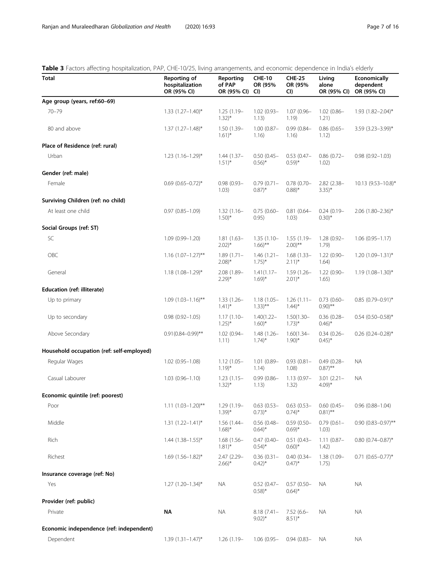# <span id="page-6-0"></span>Table 3 Factors affecting hospitalization, PAP, CHE-10/25, living arrangements, and economic dependence in India's elderly

| <b>Total</b>                              | Reporting of<br>hospitalization<br>OR (95% CI) | Reporting<br>of PAP<br>OR (95% CI)   | <b>CHE-10</b><br>OR (95%<br>CI)       | <b>CHE-25</b><br>OR (95%<br>CI)       | Living<br>alone<br>OR (95% CI)        | <b>Economically</b><br>dependent<br>OR (95% CI) |
|-------------------------------------------|------------------------------------------------|--------------------------------------|---------------------------------------|---------------------------------------|---------------------------------------|-------------------------------------------------|
| Age group (years, ref:60-69)              |                                                |                                      |                                       |                                       |                                       |                                                 |
| $70 - 79$                                 | $1.33$ $(1.27-1.40)$ *                         | $1.25(1.19-$<br>$1.32)$ *            | $1.02(0.93 -$<br>1.13)                | $1.07(0.96 -$<br>1.19)                | $1.02(0.86 -$<br>1.21)                | 1.93 (1.82-2.04)*                               |
| 80 and above                              | $1.37$ $(1.27 - 1.48)^*$                       | $1.50(1.39 -$<br>$1.61$ <sup>*</sup> | $1.00(0.87 -$<br>1.16)                | $0.99(0.84 -$<br>1.16)                | $0.86(0.65 -$<br>1.12)                | 3.59 (3.23-3.99)*                               |
| Place of Residence (ref: rural)           |                                                |                                      |                                       |                                       |                                       |                                                 |
| Urban                                     | $1.23$ $(1.16 - 1.29)^*$                       | $1.44(1.37 -$<br>$1.51$ <sup>*</sup> | $0.50(0.45 -$<br>$0.56$ <sup>*</sup>  | $0.53(0.47 -$<br>$(0.59)^*$           | $0.86(0.72 -$<br>1.02)                | $0.98(0.92 - 1.03)$                             |
| Gender (ref: male)                        |                                                |                                      |                                       |                                       |                                       |                                                 |
| Female                                    | $0.69$ $(0.65 - 0.72)$ *                       | $0.98(0.93 -$<br>1.03)               | $0.79(0.71 -$<br>$0.87$ <sup>*</sup>  | $0.78$ (0.70-<br>$0.88$ <sup>*</sup>  | 2.82 (2.38-<br>$3.35$ <sup>*</sup>    | $10.13$ (9.53-10.8)*                            |
| Surviving Children (ref: no child)        |                                                |                                      |                                       |                                       |                                       |                                                 |
| At least one child                        | $0.97(0.85 - 1.09)$                            | $1.32(1.16-$<br>$1.50$ <sup>*</sup>  | $0.75(0.60 -$<br>0.95)                | $0.81(0.64 -$<br>1.03)                | $0.24(0.19-$<br>$0.30$ <sup>*</sup>   | $2.06$ (1.80-2.36)*                             |
| Social Groups (ref: ST)                   |                                                |                                      |                                       |                                       |                                       |                                                 |
| SC                                        | 1.09 (0.99-1.20)                               | $1.81(1.63 -$<br>$2.02)*$            | $1.35(1.10 -$<br>$1.66$ <sup>**</sup> | $1.55(1.19 -$<br>$2.00$ <sup>**</sup> | $1.28(0.92 -$<br>1.79)                | $1.06(0.95 - 1.17)$                             |
| OBC                                       | $1.16$ (1.07-1.27)**                           | $1.89(1.71 -$<br>$2.08$ <sup>*</sup> | $1.46(1.21 -$<br>$1.75$ <sup>*</sup>  | $1.68(1.33 -$<br>$2.11)^{*}$          | $1.22(0.90 -$<br>1.64)                | $1.20(1.09 - 1.31)^{*}$                         |
| General                                   | $1.18(1.08 - 1.29)^{*}$                        | 2.08 (1.89-<br>$2.29)$ *             | $1.41(1.17-$<br>$1.69$ <sup>*</sup>   | $1.59(1.26 -$<br>$2.01)*$             | $1.22(0.90 -$<br>1.65)                | $1.19(1.08 - 1.30)^{*}$                         |
| <b>Education (ref: illiterate)</b>        |                                                |                                      |                                       |                                       |                                       |                                                 |
| Up to primary                             | $1.09(1.03 - 1.16)$ **                         | $1.33(1.26 -$<br>$(1.41)^*$          | $1.18(1.05 -$<br>$1.33)***$           | 1.26(1.11)<br>$1.44$ <sup>*</sup>     | $0.73(0.60 -$<br>$0.90$ <sup>**</sup> | $0.85$ (0.79-0.91)*                             |
| Up to secondary                           | $0.98(0.92 - 1.05)$                            | $1.17(1.10 -$<br>$1.25$ <sup>*</sup> | $1.40(1.22 -$<br>$1.60$ <sup>*</sup>  | $1.50(1.30 -$<br>$1.73)$ *            | $0.36(0.28 -$<br>$0.46$ <sup>*</sup>  | $0.54$ (0.50-0.58)*                             |
| Above Secondary                           | $0.91(0.84 - 0.99)$ **                         | $1.02(0.94 -$<br>1.11)               | $1.48(1.26 -$<br>$1.74$ <sup>*</sup>  | $1.60(1.34 -$<br>$1.90$ <sup>*</sup>  | $0.34(0.26 -$<br>$(0.45)^*$           | $0.26$ (0.24–0.28) <sup>*</sup>                 |
| Household occupation (ref: self-employed) |                                                |                                      |                                       |                                       |                                       |                                                 |
| Regular Wages                             | $1.02(0.95 - 1.08)$                            | $1.12(1.05 -$<br>$1.19$ <sup>*</sup> | $1.01(0.89 -$<br>1.14)                | $0.93(0.81 -$<br>1.08)                | $0.49(0.28 -$<br>$0.87$ <sup>**</sup> | <b>NA</b>                                       |
| Casual Labourer                           | $1.03(0.96 - 1.10)$                            | $1.23(1.15-$<br>$1.32)$ *            | $0.99(0.86 -$<br>1.13)                | $1.13(0.97 -$<br>1.32)                | $3.01(2.21 -$<br>$4.09$ <sup>*</sup>  | NA.                                             |
| Economic quintile (ref: poorest)          |                                                |                                      |                                       |                                       |                                       |                                                 |
| Poor                                      | $1.11 (1.03 - 1.20)$ **                        | 1.29 (1.19-<br>$1.39$ <sup>*</sup>   | $0.63(0.53 -$<br>$(0.73)^{*}$         | $0.63(0.53 -$<br>$(0.74)^{*}$         | $0.60(0.45 -$<br>$0.81$ <sup>**</sup> | $0.96(0.88 - 1.04)$                             |
| Middle                                    | $1.31(1.22 - 1.41)^*$                          | $1.56(1.44 -$<br>$1.68$ <sup>*</sup> | $0.56(0.48 -$<br>$0.64$ <sup>*</sup>  | $0.59(0.50 -$<br>$(0.69)^*$           | $0.79(0.61 -$<br>1.03)                | $0.90(0.83 - 0.97)$ **                          |
| Rich                                      | $1.44$ $(1.38 - 1.55)^*$                       | $1.68(1.56 -$<br>$1.81$ <sup>*</sup> | $0.47(0.40 -$<br>$0.54$ <sup>*</sup>  | $0.51(0.43 -$<br>$0.60$ <sup>*</sup>  | $1.11(0.87 -$<br>1.42)                | $0.80(0.74 - 0.87)^*$                           |
| Richest                                   | $1.69$ $(1.56 - 1.82)^*$                       | 2.47 (2.29-<br>$2.66$ <sup>*</sup>   | $0.36(0.31 -$<br>$0.42$ <sup>*</sup>  | $0.40(0.34 -$<br>$(0.47)^*$           | 1.38 (1.09-<br>1.75)                  | $0.71$ $(0.65 - 0.77)^*$                        |
| Insurance coverage (ref: No)              |                                                |                                      |                                       |                                       |                                       |                                                 |
| Yes                                       | $1.27$ (1.20-1.34)*                            | NA.                                  | $0.52(0.47 -$<br>$0.58$ <sup>*</sup>  | $0.57(0.50 -$<br>$0.64$ <sup>*</sup>  | <b>NA</b>                             | <b>NA</b>                                       |
| Provider (ref: public)                    |                                                |                                      |                                       |                                       |                                       |                                                 |
| Private                                   | NΑ                                             | ΝA                                   | $8.18(7.41 -$<br>$9.02$ <sup>*</sup>  | $7.52(6.6 -$<br>$8.51$ <sup>*</sup>   | ΝA                                    | <b>NA</b>                                       |
| Economic independence (ref: independent)  |                                                |                                      |                                       |                                       |                                       |                                                 |
| Dependent                                 | $1.39(1.31 - 1.47)^*$                          | $1.26(1.19-$                         | $1.06(0.95 -$                         | $0.94(0.83 -$                         | NA.                                   | <b>NA</b>                                       |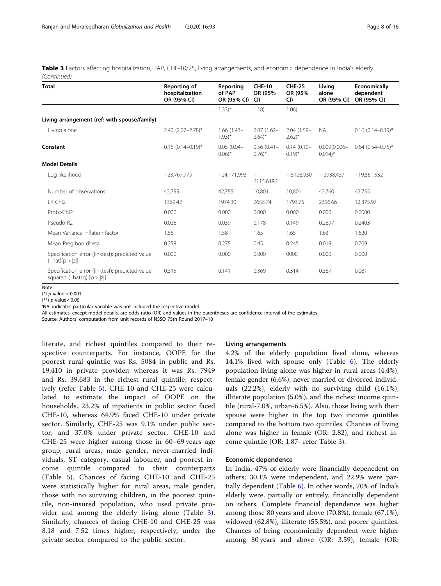Table 3 Factors affecting hospitalization, PAP, CHE-10/25, living arrangements, and economic dependence in India's elderly (Continued)

| <b>Total</b>                                                                            | Reporting of<br>hospitalization<br>OR (95% CI) | Reporting<br>of PAP<br>OR (95% CI)   | <b>CHE-10</b><br>OR (95%<br>CI        | <b>CHE-25</b><br>OR (95%<br>CI)    | Living<br>alone<br>OR (95% CI)          | Economically<br>dependent<br>OR (95% CI) |
|-----------------------------------------------------------------------------------------|------------------------------------------------|--------------------------------------|---------------------------------------|------------------------------------|-----------------------------------------|------------------------------------------|
|                                                                                         |                                                | $1.33)$ *                            | 1.18                                  | 1.06)                              |                                         |                                          |
| Living arrangement (ref: with spouse/family)                                            |                                                |                                      |                                       |                                    |                                         |                                          |
| Living alone                                                                            | 2.40 (2.07-2.78)*                              | $1.66(1.43 -$<br>$1.93$ <sup>*</sup> | $2.07(1.62 -$<br>$2.64$ <sup>*</sup>  | 2.04 (1.59-<br>$2.62$ <sup>*</sup> | <b>NA</b>                               | $0.16$ (0.14-0.19)*                      |
| Constant                                                                                | $0.16$ $(0.14 - 0.19)^*$                       | $0.05(0.04 -$<br>$0.06$ <sup>*</sup> | $0.56(0.41 -$<br>$0.76$ <sup>*</sup>  | $0.14(0.10 -$<br>$(0.19)^*$        | $0.009(0.006 -$<br>$0.014$ <sup>*</sup> | $0.64$ $(0.54 - 0.75)^*$                 |
| <b>Model Details</b>                                                                    |                                                |                                      |                                       |                                    |                                         |                                          |
| Log likelihood                                                                          | $-23,767,779$                                  | $-24,171.993$                        | $\overline{\phantom{0}}$<br>6115.6486 | $-5128.930$                        | $-2938.437$                             | $-19,561.532$                            |
| Number of observations                                                                  | 42,755                                         | 42,755                               | 10,801                                | 10,801                             | 42,760                                  | 42,755                                   |
| LR Chi <sub>2</sub>                                                                     | 1369.42                                        | 1974.30                              | 2655.74                               | 1793.75                            | 2396.66                                 | 12,375.97                                |
| Prob>Chi2                                                                               | 0.000                                          | 0.000                                | 0.000                                 | 0.000                              | 0.000                                   | 0.0000                                   |
| Pseudo R2                                                                               | 0.028                                          | 0.039                                | 0.178                                 | 0.149                              | 0.2897                                  | 0.2403                                   |
| Mean Variance inflation factor                                                          | 1.56                                           | 1.58                                 | 1.65                                  | 1.65                               | 1.63                                    | 1.620                                    |
| Mean Pregibon dbeta                                                                     | 0.258                                          | 0.275                                | 0.45                                  | 0.245                              | 0.019                                   | 0.709                                    |
| Specification error (linktest): predicted value<br>$(\text{hat})[p >  z ]$              | 0.000                                          | 0.000                                | 0.000                                 | 0000                               | 0.000                                   | 0.000                                    |
| Specification error (linktest): predicted value<br>squared $(\text{hatsq})$ $[p >  z ]$ | 0.315                                          | 0.141                                | 0.369                                 | 0.314                              | 0.387                                   | 0.081                                    |

Note:

(\*) p-value < 0.001

(\*\*) p-value< 0.05

'NA' indicates particular variable was not included the respective model

All estimates, except model details, are odds ratio (OR) and values in the parentheses are confidence interval of the estimates

Source: Authors' computation from unit records of NSSO 75th Round 2017–18

literate, and richest quintiles compared to their respective counterparts. For instance, OOPE for the poorest rural quintile was Rs. 5084 in public and Rs. 19,410 in private provider; whereas it was Rs. 7949 and Rs. 39,683 in the richest rural quintile, respectively (refer Table [5](#page-9-0)). CHE-10 and CHE-25 were calculated to estimate the impact of OOPE on the households. 23.2% of inpatients in public sector faced CHE-10, whereas 64.9% faced CHE-10 under private sector. Similarly, CHE-25 was 9.1% under public sector, and 37.0% under private sector. CHE-10 and CHE-25 were higher among those in 60–69 years age group, rural areas, male gender, never-married individuals, ST category, casual labourer, and poorest income quintile compared to their counterparts (Table [5](#page-9-0)). Chances of facing CHE-10 and CHE-25 were statistically higher for rural areas, male gender, those with no surviving children, in the poorest quintile, non-insured population, who used private provider and among the elderly living alone (Table [3](#page-6-0)). Similarly, chances of facing CHE-10 and CHE-25 was 8.18 and 7.52 times higher, respectively, under the private sector compared to the public sector.

## Living arrangements

4.2% of the elderly population lived alone, whereas 14.1% lived with spouse only (Table [6\)](#page-11-0). The elderly population living alone was higher in rural areas (4.4%), female gender (6.6%), never married or divorced individuals (22.2%), elderly with no surviving child (16.1%), illiterate population (5.0%), and the richest income quintile (rural-7.0%, urban-6.5%). Also, those living with their spouse were higher in the top two income quintiles compared to the bottom two quintiles. Chances of living alone was higher in female (OR: 2.82), and richest income quintile (OR: 1.87- refer Table [3](#page-6-0)).

## Economic dependence

In India, 47% of elderly were financially depenedent on others; 30.1% were independent, and 22.9% were partially dependent (Table  $6$ ). In other words, 70% of India's elderly were, partially or entirely, financially dependent on others. Complete financial dependence was higher among those 80 years and above (70.8%), female (67.1%), widowed (62.8%), illiterate (55.5%), and poorer quintiles. Chances of being economically dependent were higher among 80 years and above (OR: 3.59), female (OR: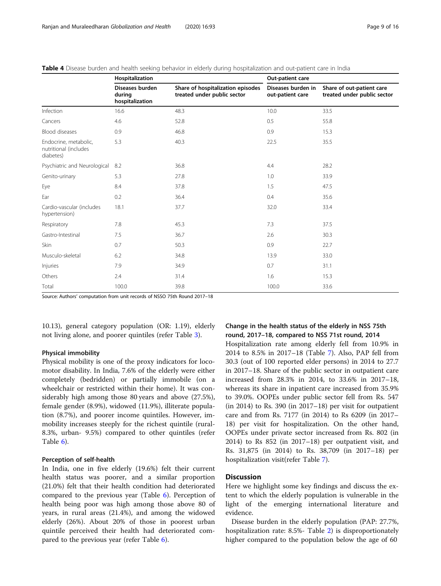|                                                             | Hospitalization                              |                                                                  | Out-patient care                       |                                                          |  |  |  |
|-------------------------------------------------------------|----------------------------------------------|------------------------------------------------------------------|----------------------------------------|----------------------------------------------------------|--|--|--|
|                                                             | Diseases burden<br>during<br>hospitalization | Share of hospitalization episodes<br>treated under public sector | Diseases burden in<br>out-patient care | Share of out-patient care<br>treated under public sector |  |  |  |
| Infection                                                   | 16.6                                         | 48.3                                                             | 10.0                                   | 33.5                                                     |  |  |  |
| Cancers                                                     | 4.6                                          | 52.8                                                             | 0.5                                    | 55.8                                                     |  |  |  |
| <b>Blood diseases</b>                                       | 0.9                                          | 46.8                                                             | 0.9                                    | 15.3                                                     |  |  |  |
| Endocrine, metabolic,<br>nutritional (includes<br>diabetes) | 5.3                                          | 40.3                                                             | 22.5                                   | 35.5                                                     |  |  |  |
| Psychiatric and Neurological                                | 8.2                                          | 36.8                                                             | 4.4                                    | 28.2                                                     |  |  |  |
| Genito-urinary                                              | 5.3                                          | 27.8                                                             | 1.0                                    | 33.9                                                     |  |  |  |
| Eye                                                         | 8.4                                          | 37.8                                                             | 1.5                                    | 47.5                                                     |  |  |  |
| Ear                                                         | 0.2                                          | 36.4                                                             | 0.4                                    | 35.6                                                     |  |  |  |
| Cardio-vascular (includes<br>hypertension)                  | 18.1                                         | 37.7                                                             | 32.0                                   | 33.4                                                     |  |  |  |
| Respiratory                                                 | 7.8                                          | 45.3                                                             | 7.3                                    | 37.5                                                     |  |  |  |
| Gastro-Intestinal                                           | 7.5                                          | 36.7                                                             | 2.6                                    | 30.3                                                     |  |  |  |
| Skin                                                        | 0.7                                          | 50.3                                                             | 0.9                                    | 22.7                                                     |  |  |  |
| Musculo-skeletal                                            | 6.2                                          | 34.8                                                             | 13.9                                   | 33.0                                                     |  |  |  |
| Injuries                                                    | 7.9                                          | 34.9                                                             | 0.7                                    | 31.1                                                     |  |  |  |
| Others                                                      | 2.4                                          | 31.4                                                             | 1.6                                    | 15.3                                                     |  |  |  |
| Total                                                       | 100.0                                        | 39.8                                                             | 100.0                                  | 33.6                                                     |  |  |  |

<span id="page-8-0"></span>Table 4 Disease burden and health seeking behavior in elderly during hospitalization and out-patient care in India

Source: Authors' computation from unit records of NSSO 75th Round 2017–18

10.13), general category population (OR: 1.19), elderly not living alone, and poorer quintiles (refer Table [3\)](#page-6-0).

# Physical immobility

Physical mobility is one of the proxy indicators for locomotor disability. In India, 7.6% of the elderly were either completely (bedridden) or partially immobile (on a wheelchair or restricted within their home). It was considerably high among those 80 years and above (27.5%), female gender (8.9%), widowed (11.9%), illiterate population (8.7%), and poorer income quintiles. However, immobility increases steeply for the richest quintile (rural-8.3%, urban- 9.5%) compared to other quintiles (refer Table [6\)](#page-11-0).

## Perception of self-health

In India, one in five elderly (19.6%) felt their current health status was poorer, and a similar proportion (21.0%) felt that their health condition had deteriorated compared to the previous year (Table [6](#page-11-0)). Perception of health being poor was high among those above 80 of years, in rural areas (21.4%), and among the widowed elderly (26%). About 20% of those in poorest urban quintile perceived their health had deteriorated compared to the previous year (refer Table [6\)](#page-11-0).

# Change in the health status of the elderly in NSS 75th round, 2017–18, compared to NSS 71st round, 2014

Hospitalization rate among elderly fell from 10.9% in 2014 to 8.5% in 2017–18 (Table [7\)](#page-13-0). Also, PAP fell from 30.3 (out of 100 reported elder persons) in 2014 to 27.7 in 2017–18. Share of the public sector in outpatient care increased from 28.3% in 2014, to 33.6% in 2017–18, whereas its share in inpatient care increased from 35.9% to 39.0%. OOPEs under public sector fell from Rs. 547  $(in 2014)$  to Rs. 390  $(in 2017-18)$  per visit for outpatient care and from Rs. 7177 (in 2014) to Rs 6209 (in 2017– 18) per visit for hospitalization. On the other hand, OOPEs under private sector increased from Rs. 802 (in 2014) to Rs 852 (in 2017–18) per outpatient visit, and Rs. 31,875 (in 2014) to Rs. 38,709 (in 2017–18) per hospitalization visit(refer Table [7\)](#page-13-0).

# **Discussion**

Here we highlight some key findings and discuss the extent to which the elderly population is vulnerable in the light of the emerging international literature and evidence.

Disease burden in the elderly population (PAP: 27.7%, hospitalization rate: 8.5%- Table [2](#page-4-0)) is disproportionately higher compared to the population below the age of 60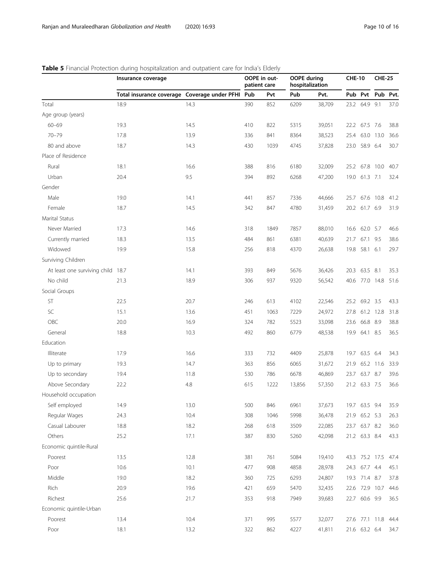|                                   | Insurance coverage                           |      |     | OOPE in out-<br>patient care | <b>OOPE</b> during<br>hospitalization |        | <b>CHE-10</b> |                | <b>CHE-25</b>       |      |
|-----------------------------------|----------------------------------------------|------|-----|------------------------------|---------------------------------------|--------|---------------|----------------|---------------------|------|
|                                   | Total insurance coverage Coverage under PFHI |      | Pub | Pvt                          | Pub                                   | Pvt.   |               |                | Pub Pvt Pub Pvt.    |      |
| Total                             | 18.9                                         | 14.3 | 390 | 852                          | 6209                                  | 38,709 | 23.2          | 64.9 9.1       |                     | 37.0 |
| Age group (years)                 |                                              |      |     |                              |                                       |        |               |                |                     |      |
| $60 - 69$                         | 19.3                                         | 14.5 | 410 | 822                          | 5315                                  | 39,051 |               | 22.2 67.5 7.6  |                     | 38.8 |
| $70 - 79$                         | 17.8                                         | 13.9 | 336 | 841                          | 8364                                  | 38,523 |               | 25.4 63.0 13.0 |                     | 36.6 |
| 80 and above                      | 18.7                                         | 14.3 | 430 | 1039                         | 4745                                  | 37,828 |               | 23.0 58.9 6.4  |                     | 30.7 |
| Place of Residence                |                                              |      |     |                              |                                       |        |               |                |                     |      |
| Rural                             | 18.1                                         | 16.6 | 388 | 816                          | 6180                                  | 32,009 |               | 25.2 67.8 10.0 |                     | 40.7 |
| Urban                             | 20.4                                         | 9.5  | 394 | 892                          | 6268                                  | 47,200 |               | 19.0 61.3 7.1  |                     | 32.4 |
| Gender                            |                                              |      |     |                              |                                       |        |               |                |                     |      |
| Male                              | 19.0                                         | 14.1 | 441 | 857                          | 7336                                  | 44,666 | 25.7          | 67.6 10.8      |                     | 41.2 |
| Female                            | 18.7                                         | 14.5 | 342 | 847                          | 4780                                  | 31,459 |               | 20.2 61.7 6.9  |                     | 31.9 |
| Marital Status                    |                                              |      |     |                              |                                       |        |               |                |                     |      |
| Never Married                     | 17.3                                         | 14.6 | 318 | 1849                         | 7857                                  | 88,010 |               | 16.6 62.0 5.7  |                     | 46.6 |
| Currently married                 | 18.3                                         | 13.5 | 484 | 861                          | 6381                                  | 40,639 | 21.7          | 67.1 9.5       |                     | 38.6 |
| Widowed                           | 19.9                                         | 15.8 | 256 | 818                          | 4370                                  | 26,638 |               | 19.8 58.1 6.1  |                     | 29.7 |
| Surviving Children                |                                              |      |     |                              |                                       |        |               |                |                     |      |
| At least one surviving child 18.7 |                                              | 14.1 | 393 | 849                          | 5676                                  | 36,426 |               | 20.3 63.5 8.1  |                     | 35.3 |
| No child                          | 21.3                                         | 18.9 | 306 | 937                          | 9320                                  | 56,542 |               |                | 40.6 77.0 14.8      | 51.6 |
| Social Groups                     |                                              |      |     |                              |                                       |        |               |                |                     |      |
| ST                                | 22.5                                         | 20.7 | 246 | 613                          | 4102                                  | 22,546 |               | 25.2 69.2 3.5  |                     | 43.3 |
| SC                                | 15.1                                         | 13.6 | 451 | 1063                         | 7229                                  | 24,972 | 27.8          | 61.2 12.8      |                     | 31.8 |
| OBC                               | 20.0                                         | 16.9 | 324 | 782                          | 5523                                  | 33,098 | 23.6          | 66.8 8.9       |                     | 38.8 |
| General                           | 18.8                                         | 10.3 | 492 | 860                          | 6779                                  | 48,538 |               | 19.9 64.1 8.5  |                     | 36.5 |
| Education                         |                                              |      |     |                              |                                       |        |               |                |                     |      |
| Illiterate                        | 17.9                                         | 16.6 | 333 | 732                          | 4409                                  | 25,878 |               | 19.7 63.5 6.4  |                     | 34.3 |
| Up to primary                     | 19.3                                         | 14.7 | 363 | 856                          | 6065                                  | 31,672 | 21.9          |                | 65.2 11.6           | 33.9 |
| Up to secondary                   | 19.4                                         | 11.8 | 530 | 786                          | 6678                                  | 46,869 |               | 23.7 63.7 8.7  |                     | 39.6 |
| Above Secondary                   | 22.2                                         | 4.8  | 615 | 1222                         | 13,856                                | 57,350 |               | 21.2 63.3 7.5  |                     | 36.6 |
| Household occupation              |                                              |      |     |                              |                                       |        |               |                |                     |      |
| Self employed                     | 14.9                                         | 13.0 | 500 | 846                          | 6961                                  | 37,673 |               | 19.7 63.5 9.4  |                     | 35.9 |
| Regular Wages                     | 24.3                                         | 10.4 | 308 | 1046                         | 5998                                  | 36,478 |               | 21.9 65.2 5.3  |                     | 26.3 |
| Casual Labourer                   | 18.8                                         | 18.2 | 268 | 618                          | 3509                                  | 22,085 |               | 23.7 63.7 8.2  |                     | 36.0 |
| Others                            | 25.2                                         | 17.1 | 387 | 830                          | 5260                                  | 42,098 |               | 21.2 63.3 8.4  |                     | 43.3 |
| Economic quintile-Rural           |                                              |      |     |                              |                                       |        |               |                |                     |      |
| Poorest                           | 13.5                                         | 12.8 | 381 | 761                          | 5084                                  | 19,410 |               | 43.3 75.2 17.5 |                     | 47.4 |
| Poor                              | 10.6                                         | 10.1 | 477 | 908                          | 4858                                  | 28,978 |               | 24.3 67.7 4.4  |                     | 45.1 |
| Middle                            | 19.0                                         | 18.2 | 360 | 725                          | 6293                                  | 24,807 |               | 19.3 71.4 8.7  |                     | 37.8 |
| Rich                              | 20.9                                         | 19.6 | 421 | 659                          | 5470                                  | 32,435 | 22.6          | 72.9 10.7      |                     | 44.6 |
| Richest                           | 25.6                                         | 21.7 | 353 | 918                          | 7949                                  | 39,683 |               | 22.7 60.6 9.9  |                     | 36.5 |
| Economic quintile-Urban           |                                              |      |     |                              |                                       |        |               |                |                     |      |
| Poorest                           | 13.4                                         | 10.4 | 371 | 995                          | 5577                                  | 32,077 |               |                | 27.6 77.1 11.8 44.4 |      |
| Poor                              | 18.1                                         | 13.2 | 322 | 862                          | 4227                                  | 41,811 |               | 21.6 63.2 6.4  |                     | 34.7 |

# <span id="page-9-0"></span>Table 5 Financial Protection during hospitalization and outpatient care for India's Elderly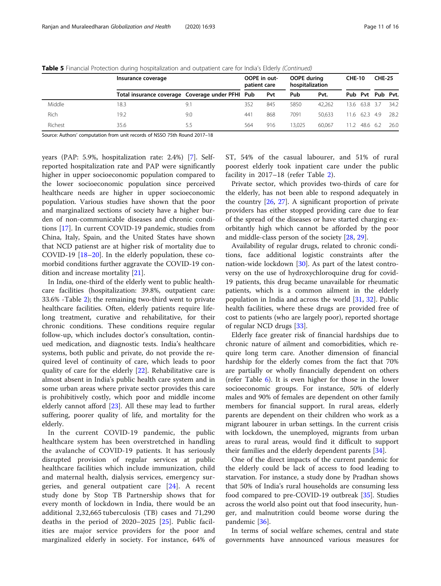|         | Insurance coverage                               |     | OOPE in out-<br>patient care |     | OOPE during<br>hospitalization |        | <b>CHE-10</b> |               | <b>CHE-25</b>    |      |
|---------|--------------------------------------------------|-----|------------------------------|-----|--------------------------------|--------|---------------|---------------|------------------|------|
|         | Total insurance coverage Coverage under PFHI Pub |     |                              | Pvt | Pub                            | Pvt.   |               |               | Pub Pvt Pub Pvt. |      |
| Middle  | 18.3                                             | 9.7 | 352                          | 845 | 5850                           | 42.262 |               | 13.6 63.8 3.7 |                  | 34.2 |
| Rich    | 19.2                                             | 9.0 | 441                          | 868 | 7091                           | 50.633 |               | 11.6 62.3 4.9 |                  | 28.2 |
| Richest | 35.6                                             | 5.5 | 564                          | 916 | 13.025                         | 60.067 | 11 2.         | 48.6 6.2      |                  | 26.0 |

Table 5 Financial Protection during hospitalization and outpatient care for India's Elderly (Continued)

Source: Authors' computation from unit records of NSSO 75th Round 2017–18

years (PAP: 5.9%, hospitalization rate: 2.4%) [[7](#page-14-0)]. Selfreported hospitalization rate and PAP were significantly higher in upper socioeconomic population compared to the lower socioeconomic population since perceived healthcare needs are higher in upper socioeconomic population. Various studies have shown that the poor and marginalized sections of society have a higher burden of non-communicable diseases and chronic conditions [\[17\]](#page-15-0). In current COVID-19 pandemic, studies from China, Italy, Spain, and the United States have shown that NCD patienst are at higher risk of mortality due to COVID-19 [\[18](#page-15-0)–[20](#page-15-0)]. In the elderly population, these comorbid conditions further aggravate the COVID-19 condition and increase mortality [[21\]](#page-15-0).

In India, one-third of the elderly went to public healthcare facilities (hospitalization: 39.8%, outpatient care: 33.6% -Table [2](#page-4-0)); the remaining two-third went to private healthcare facilities. Often, elderly patients require lifelong treatment, curative and rehabilitative, for their chronic conditions. These conditions require regular follow-up, which includes doctor's consultation, continued medication, and diagnostic tests. India's healthcare systems, both public and private, do not provide the required level of continuity of care, which leads to poor quality of care for the elderly [\[22\]](#page-15-0). Rehabilitative care is almost absent in India's public health care system and in some urban areas where private sector provides this care is prohibitively costly, which poor and middle income elderly cannot afford [\[23\]](#page-15-0). All these may lead to further suffering, poorer quality of life, and mortality for the elderly.

In the current COVID-19 pandemic, the public healthcare system has been overstretched in handling the avalanche of COVID-19 patients. It has seriously disrupted provision of regular services at public healthcare facilities which include immunization, child and maternal health, dialysis services, emergency surgeries, and general outpatient care [[24\]](#page-15-0). A recent study done by Stop TB Partnership shows that for every month of lockdown in India, there would be an additional 2,32,665 tuberculosis (TB) cases and 71,290 deaths in the period of 2020–2025 [\[25](#page-15-0)]. Public facilities are major service providers for the poor and marginalized elderly in society. For instance, 64% of ST, 54% of the casual labourer, and 51% of rural poorest elderly took inpatient care under the public facility in 2017–18 (refer Table [2](#page-4-0)).

Private sector, which provides two-thirds of care for the elderly, has not been able to respond adequately in the country  $[26, 27]$  $[26, 27]$  $[26, 27]$  $[26, 27]$  $[26, 27]$ . A significant proportion of private providers has either stopped providing care due to fear of the spread of the diseases or have started charging exorbitantly high which cannot be afforded by the poor and middle-class person of the society [\[28](#page-15-0), [29](#page-15-0)].

Availability of regular drugs, related to chronic conditions, face additional logistic constraints after the nation-wide lockdown [[30\]](#page-15-0). As part of the latest controversy on the use of hydroxychloroquine drug for covid-19 patients, this drug became unavailable for rheumatic patients, which is a common ailment in the elderly population in India and across the world [[31](#page-15-0), [32\]](#page-15-0). Public health facilities, where these drugs are provided free of cost to patients (who are largely poor), reported shortage of regular NCD drugs [\[33](#page-15-0)].

Elderly face greater risk of financial hardships due to chronic nature of ailment and comorbidities, which require long term care. Another dimension of financial hardship for the elderly comes from the fact that 70% are partially or wholly financially dependent on others (refer Table [6\)](#page-11-0). It is even higher for those in the lower socioeconomic groups. For instance, 50% of elderly males and 90% of females are dependent on other family members for financial support. In rural areas, elderly parents are dependent on their children who work as a migrant labourer in urban settings. In the current crisis with lockdown, the unemployed, migrants from urban areas to rural areas, would find it difficult to support their families and the elderly dependent parents [[34\]](#page-15-0).

One of the direct impacts of the current pandemic for the elderly could be lack of access to food leading to starvation. For instance, a study done by Pradhan shows that 50% of India's rural households are consuming less food compared to pre-COVID-19 outbreak [[35](#page-15-0)]. Studies across the world also point out that food insecurity, hunger, and malnutrition could beome worse during the pandemic [[36](#page-15-0)].

In terms of social welfare schemes, central and state governments have announced various measures for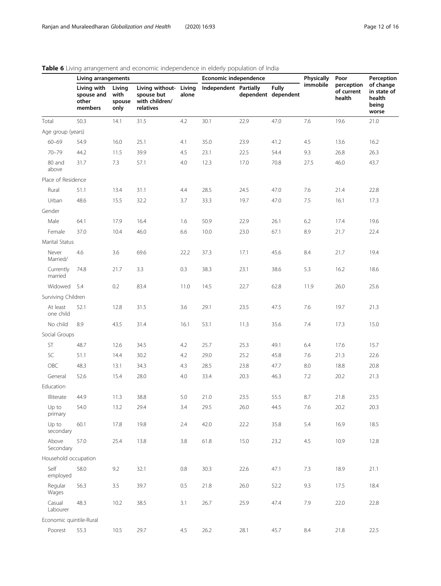|                         | <b>Table 0</b> Eiving analigement and economic independence in elderly population of india<br>Living arrangements |                                  |                                                                     |       | Economic independence |      |                                     | <b>Physically</b> | Poor                               | Perception                                           |  |
|-------------------------|-------------------------------------------------------------------------------------------------------------------|----------------------------------|---------------------------------------------------------------------|-------|-----------------------|------|-------------------------------------|-------------------|------------------------------------|------------------------------------------------------|--|
|                         | Living with<br>spouse and<br>other<br>members                                                                     | Living<br>with<br>spouse<br>only | Living without- Living<br>spouse but<br>with children/<br>relatives | alone | Independent Partially |      | <b>Fully</b><br>dependent dependent | immobile          | perception<br>of current<br>health | of change<br>in state of<br>health<br>being<br>worse |  |
| Total                   | 50.3                                                                                                              | 14.1                             | 31.5                                                                | 4.2   | 30.1                  | 22.9 | 47.0                                | 7.6               | 19.6                               | 21.0                                                 |  |
| Age group (years)       |                                                                                                                   |                                  |                                                                     |       |                       |      |                                     |                   |                                    |                                                      |  |
| $60 - 69$               | 54.9                                                                                                              | 16.0                             | 25.1                                                                | 4.1   | 35.0                  | 23.9 | 41.2                                | 4.5               | 13.6                               | 16.2                                                 |  |
| $70 - 79$               | 44.2                                                                                                              | 11.5                             | 39.9                                                                | 4.5   | 23.1                  | 22.5 | 54.4                                | 9.3               | 26.8                               | 26.3                                                 |  |
| 80 and<br>above         | 31.7                                                                                                              | 7.3                              | 57.1                                                                | 4.0   | 12.3                  | 17.0 | 70.8                                | 27.5              | 46.0                               | 43.7                                                 |  |
| Place of Residence      |                                                                                                                   |                                  |                                                                     |       |                       |      |                                     |                   |                                    |                                                      |  |
| Rural                   | 51.1                                                                                                              | 13.4                             | 31.1                                                                | 4.4   | 28.5                  | 24.5 | 47.0                                | 7.6               | 21.4                               | 22.8                                                 |  |
| Urban                   | 48.6                                                                                                              | 15.5                             | 32.2                                                                | 3.7   | 33.3                  | 19.7 | 47.0                                | 7.5               | 16.1                               | 17.3                                                 |  |
| Gender                  |                                                                                                                   |                                  |                                                                     |       |                       |      |                                     |                   |                                    |                                                      |  |
| Male                    | 64.1                                                                                                              | 17.9                             | 16.4                                                                | 1.6   | 50.9                  | 22.9 | 26.1                                | 6.2               | 17.4                               | 19.6                                                 |  |
| Female                  | 37.0                                                                                                              | 10.4                             | 46.0                                                                | 6.6   | 10.0                  | 23.0 | 67.1                                | 8.9               | 21.7                               | 22.4                                                 |  |
| Marital Status          |                                                                                                                   |                                  |                                                                     |       |                       |      |                                     |                   |                                    |                                                      |  |
| Never<br>Married/       | 4.6                                                                                                               | 3.6                              | 69.6                                                                | 22.2  | 37.3                  | 17.1 | 45.6                                | 8.4               | 21.7                               | 19.4                                                 |  |
| Currently<br>married    | 74.8                                                                                                              | 21.7                             | 3.3                                                                 | 0.3   | 38.3                  | 23.1 | 38.6                                | 5.3               | 16.2                               | 18.6                                                 |  |
| Widowed                 | 5.4                                                                                                               | 0.2                              | 83.4                                                                | 11.0  | 14.5                  | 22.7 | 62.8                                | 11.9              | 26.0                               | 25.6                                                 |  |
| Surviving Children      |                                                                                                                   |                                  |                                                                     |       |                       |      |                                     |                   |                                    |                                                      |  |
| At least<br>one child   | 52.1                                                                                                              | 12.8                             | 31.5                                                                | 3.6   | 29.1                  | 23.5 | 47.5                                | 7.6               | 19.7                               | 21.3                                                 |  |
| No child                | 8.9                                                                                                               | 43.5                             | 31.4                                                                | 16.1  | 53.1                  | 11.3 | 35.6                                | 7.4               | 17.3                               | 15.0                                                 |  |
| Social Groups           |                                                                                                                   |                                  |                                                                     |       |                       |      |                                     |                   |                                    |                                                      |  |
| ST                      | 48.7                                                                                                              | 12.6                             | 34.5                                                                | 4.2   | 25.7                  | 25.3 | 49.1                                | 6.4               | 17.6                               | 15.7                                                 |  |
| SC                      | 51.1                                                                                                              | 14.4                             | 30.2                                                                | 4.2   | 29.0                  | 25.2 | 45.8                                | 7.6               | 21.3                               | 22.6                                                 |  |
| OBC                     | 48.3                                                                                                              | 13.1                             | 34.3                                                                | 4.3   | 28.5                  | 23.8 | 47.7                                | 8.0               | 18.8                               | 20.8                                                 |  |
| General                 | 52.6                                                                                                              | 15.4                             | 28.0                                                                | 4.0   | 33.4                  | 20.3 | 46.3                                | 7.2               | 20.2                               | 21.3                                                 |  |
| Education               |                                                                                                                   |                                  |                                                                     |       |                       |      |                                     |                   |                                    |                                                      |  |
| Illiterate              | 44.9                                                                                                              | 11.3                             | 38.8                                                                | 5.0   | 21.0                  | 23.5 | 55.5                                | 8.7               | 21.8                               | 23.5                                                 |  |
| Up to<br>primary        | 54.0                                                                                                              | 13.2                             | 29.4                                                                | 3.4   | 29.5                  | 26.0 | 44.5                                | $7.6\,$           | 20.2                               | 20.3                                                 |  |
| Up to<br>secondary      | 60.1                                                                                                              | 17.8                             | 19.8                                                                | 2.4   | 42.0                  | 22.2 | 35.8                                | 5.4               | 16.9                               | 18.5                                                 |  |
| Above<br>Secondary      | 57.0                                                                                                              | 25.4                             | 13.8                                                                | 3.8   | 61.8                  | 15.0 | 23.2                                | 4.5               | 10.9                               | 12.8                                                 |  |
| Household occupation    |                                                                                                                   |                                  |                                                                     |       |                       |      |                                     |                   |                                    |                                                      |  |
| Self<br>employed        | 58.0                                                                                                              | 9.2                              | 32.1                                                                | 0.8   | 30.3                  | 22.6 | 47.1                                | 7.3               | 18.9                               | 21.1                                                 |  |
| Regular<br>Wages        | 56.3                                                                                                              | 3.5                              | 39.7                                                                | 0.5   | 21.8                  | 26.0 | 52.2                                | 9.3               | 17.5                               | 18.4                                                 |  |
| Casual<br>Labourer      | 48.3                                                                                                              | 10.2                             | 38.5                                                                | 3.1   | 26.7                  | 25.9 | 47.4                                | 7.9               | 22.0                               | 22.8                                                 |  |
| Economic quintile-Rural |                                                                                                                   |                                  |                                                                     |       |                       |      |                                     |                   |                                    |                                                      |  |
| Poorest                 | 55.3                                                                                                              | 10.5                             | 29.7                                                                | 4.5   | 26.2                  | 28.1 | 45.7                                | 8.4               | 21.8                               | 22.5                                                 |  |

# <span id="page-11-0"></span>Table 6 Living arrangement and economic independence in elderly population of India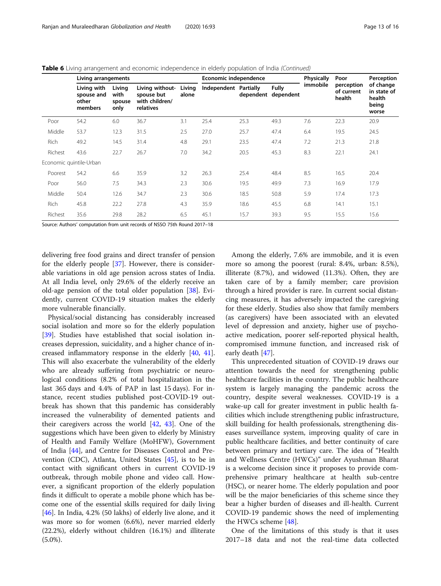|             | Living arrangements                           |                                  |                                                              |                 | Economic independence |           |                           | <b>Physically</b> | Poor                               | Perception                                           |  |
|-------------|-----------------------------------------------|----------------------------------|--------------------------------------------------------------|-----------------|-----------------------|-----------|---------------------------|-------------------|------------------------------------|------------------------------------------------------|--|
|             | Livina with<br>spouse and<br>other<br>members | Livina<br>with<br>spouse<br>only | Living without-<br>spouse but<br>with children/<br>relatives | Living<br>alone | Independent Partially | dependent | <b>Fully</b><br>dependent | immobile          | perception<br>of current<br>health | of change<br>in state of<br>health<br>being<br>worse |  |
| Poor        | 54.2                                          | 6.0                              | 36.7                                                         | 3.1             | 25.4                  | 25.3      | 49.3                      | 7.6               | 22.3                               | 20.9                                                 |  |
| Middle      | 53.7                                          | 12.3                             | 31.5                                                         | 2.5             | 27.0                  | 25.7      | 47.4                      | 6.4               | 19.5                               | 24.5                                                 |  |
| <b>Rich</b> | 49.2                                          | 14.5                             | 31.4                                                         | 4.8             | 29.1                  | 23.5      | 47.4                      | 7.2               | 21.3                               | 21.8                                                 |  |
| Richest     | 43.6                                          | 22.7                             | 26.7                                                         | 7.0             | 34.2                  | 20.5      | 45.3                      | 8.3               | 22.1                               | 24.1                                                 |  |
|             | Economic quintile-Urban                       |                                  |                                                              |                 |                       |           |                           |                   |                                    |                                                      |  |
| Poorest     | 54.2                                          | 6.6                              | 35.9                                                         | 3.2             | 26.3                  | 25.4      | 48.4                      | 8.5               | 16.5                               | 20.4                                                 |  |
| Poor        | 56.0                                          | 7.5                              | 34.3                                                         | 2.3             | 30.6                  | 19.5      | 49.9                      | 7.3               | 16.9                               | 17.9                                                 |  |
| Middle      | 50.4                                          | 12.6                             | 34.7                                                         | 2.3             | 30.6                  | 18.5      | 50.8                      | 5.9               | 17.4                               | 17.3                                                 |  |
| Rich        | 45.8                                          | 22.2                             | 27.8                                                         | 4.3             | 35.9                  | 18.6      | 45.5                      | 6.8               | 14.1                               | 15.1                                                 |  |
| Richest     | 35.6                                          | 29.8                             | 28.2                                                         | 6.5             | 45.1                  | 15.7      | 39.3                      | 9.5               | 15.5                               | 15.6                                                 |  |

Table 6 Living arrangement and economic independence in elderly population of India (Continued)

Source: Authors' computation from unit records of NSSO 75th Round 2017–18

delivering free food grains and direct transfer of pension for the elderly people [[37\]](#page-15-0). However, there is considerable variations in old age pension across states of India. At all India level, only 29.6% of the elderly receive an old-age pension of the total older population [\[38\]](#page-15-0). Evidently, current COVID-19 situation makes the elderly more vulnerable financially.

Physical/social distancing has considerably increased social isolation and more so for the elderly population [[39\]](#page-15-0). Studies have established that social isolation increases depression, suicidality, and a higher chance of increased inflammatory response in the elderly [[40](#page-15-0), [41](#page-15-0)]. This will also exacerbate the vulnerability of the elderly who are already suffering from psychiatric or neurological conditions (8.2% of total hospitalization in the last 365 days and 4.4% of PAP in last 15 days). For instance, recent studies published post-COVID-19 outbreak has shown that this pandemic has considerably increased the vulnerability of demented patients and their caregivers across the world [\[42](#page-15-0), [43](#page-15-0)]. One of the suggestions which have been given to elderly by Ministry of Health and Family Welfare (MoHFW), Government of India [\[44](#page-15-0)], and Centre for Diseases Control and Prevention (CDC), Atlanta, United States [[45](#page-15-0)], is to be in contact with significant others in current COVID-19 outbreak, through mobile phone and video call. However, a significant proportion of the elderly population finds it difficult to operate a mobile phone which has become one of the essential skills required for daily living [[46\]](#page-15-0). In India, 4.2% (50 lakhs) of elderly live alone, and it was more so for women (6.6%), never married elderly (22.2%), elderly without children (16.1%) and illiterate  $(5.0\%).$ 

Among the elderly, 7.6% are immobile, and it is even more so among the poorest (rural: 8.4%, urban: 8.5%), illiterate (8.7%), and widowed (11.3%). Often, they are taken care of by a family member; care provision through a hired provider is rare. In current social distancing measures, it has adversely impacted the caregiving for these elderly. Studies also show that family members (as caregivers) have been associated with an elevated level of depression and anxiety, higher use of psychoactive medication, poorer self-reported physical health, compromised immune function, and increased risk of early death [[47](#page-15-0)].

This unprecedented situation of COVID-19 draws our attention towards the need for strengthening public healthcare facilities in the country. The public healthcare system is largely managing the pandemic across the country, despite several weaknesses. COVID-19 is a wake-up call for greater investment in public health facilities which include strengthening public infrastructure, skill building for health professionals, strengthening diseases surveillance system, improving quality of care in public healthcare facilities, and better continuity of care between primary and tertiary care. The idea of "Health and Wellness Centre (HWCs)" under Ayushman Bharat is a welcome decision since it proposes to provide comprehensive primary healthcare at health sub-centre (HSC), or nearer home. The elderly population and poor will be the major beneficiaries of this scheme since they bear a higher burden of diseases and ill-health. Current COVID-19 pandemic shows the need of implementing the HWCs scheme [[48\]](#page-15-0).

One of the limitations of this study is that it uses 2017–18 data and not the real-time data collected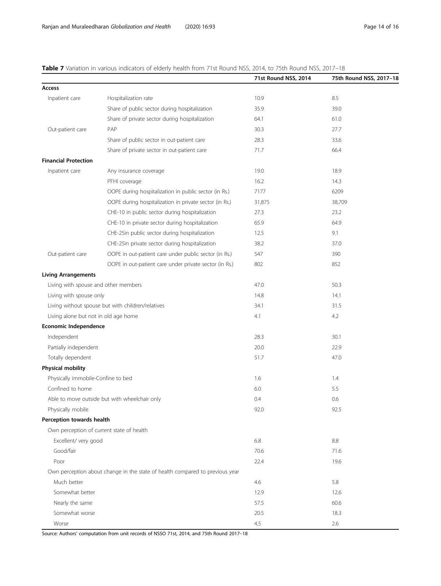# <span id="page-13-0"></span>Table 7 Variation in various indicators of elderly health from 71st Round NSS, 2014, to 75th Round NSS, 2017-18

|                                                   |                                                                              | 71st Round NSS, 2014 | 75th Round NSS, 2017-18 |
|---------------------------------------------------|------------------------------------------------------------------------------|----------------------|-------------------------|
| Access                                            |                                                                              |                      |                         |
| Inpatient care                                    | Hospitalization rate                                                         | 10.9                 | 8.5                     |
|                                                   | Share of public sector during hospitalization                                | 35.9                 | 39.0                    |
|                                                   | Share of private sector during hospitalization                               | 64.1                 | 61.0                    |
| Out-patient care                                  | PAP                                                                          | 30.3                 | 27.7                    |
|                                                   | Share of public sector in out-patient care                                   | 28.3                 | 33.6                    |
|                                                   | Share of private sector in out-patient care                                  | 71.7                 | 66.4                    |
| <b>Financial Protection</b>                       |                                                                              |                      |                         |
| Inpatient care                                    | Any insurance coverage                                                       | 19.0                 | 18.9                    |
|                                                   | PFHI coverage                                                                | 16.2                 | 14.3                    |
|                                                   | OOPE during hospitalization in public sector (in Rs.)                        | 7177                 | 6209                    |
|                                                   | OOPE during hospitalization in private sector (in Rs.)                       | 31,875               | 38,709                  |
|                                                   | CHE-10 in public sector during hospitalization                               | 27.3                 | 23.2                    |
|                                                   | CHE-10 in private sector during hospitalization                              | 65.9                 | 64.9                    |
|                                                   | CHE-25in public sector during hospitalization                                | 12.5                 | 9.1                     |
|                                                   | CHE-25in private sector during hospitalization                               | 38.2                 | 37.0                    |
| Out-patient care                                  | OOPE in out-patient care under public sector (in Rs.)                        | 547                  | 390                     |
|                                                   | OOPE in out-patient care under private sector (in Rs.)                       | 802                  | 852                     |
| <b>Living Arrangements</b>                        |                                                                              |                      |                         |
| Living with spouse and other members              |                                                                              | 47.0                 | 50.3                    |
| Living with spouse only                           |                                                                              | 14.8                 | 14.1                    |
| Living without spouse but with children/relatives |                                                                              | 34.1                 | 31.5                    |
| Living alone but not in old age home              |                                                                              | 4.1                  | 4.2                     |
| <b>Economic Independence</b>                      |                                                                              |                      |                         |
| Independent                                       |                                                                              | 28.3                 | 30.1                    |
| Partially independent                             |                                                                              | 20.0                 | 22.9                    |
| Totally dependent                                 |                                                                              | 51.7                 | 47.0                    |
| <b>Physical mobility</b>                          |                                                                              |                      |                         |
| Physically immobile-Confine to bed                |                                                                              | 1.6                  | 1.4                     |
| Confined to home                                  |                                                                              | 6.0                  | 5.5                     |
| Able to move outside but with wheelchair only     |                                                                              | 0.4                  | 0.6                     |
| Physically mobile                                 |                                                                              | 92.0                 | 92.5                    |
| Perception towards health                         |                                                                              |                      |                         |
|                                                   | Own perception of current state of health                                    |                      |                         |
| Excellent/ very good                              |                                                                              | 6.8                  | 8.8                     |
| Good/fair                                         |                                                                              | 70.6                 | 71.6                    |
| Poor                                              |                                                                              | 22.4                 | 19.6                    |
|                                                   | Own perception about change in the state of health compared to previous year |                      |                         |
| Much better                                       |                                                                              | 4.6                  | 5.8                     |
| Somewhat better                                   |                                                                              | 12.9                 | 12.6                    |
| Nearly the same                                   |                                                                              | 57.5                 | 60.6                    |
| Somewhat worse                                    |                                                                              | 20.5                 | 18.3                    |
| Worse                                             |                                                                              | 4.5                  | 2.6                     |

Source: Authors' computation from unit records of NSSO 71st, 2014, and 75th Round 2017–18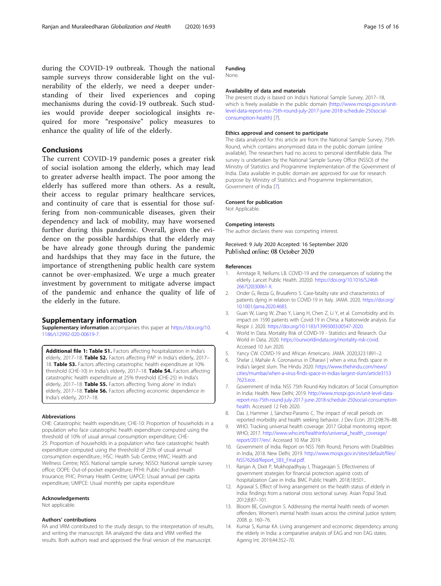<span id="page-14-0"></span>during the COVID-19 outbreak. Though the national sample surveys throw considerable light on the vulnerability of the elderly, we need a deeper understanding of their lived experiences and coping mechanisms during the covid-19 outbreak. Such studies would provide deeper sociological insights required for more "responsive" policy measures to enhance the quality of life of the elderly.

# Conclusions

The current COVID-19 pandemic poses a greater risk of social isolation among the elderly, which may lead to greater adverse health impact. The poor among the elderly has suffered more than others. As a result, their access to regular primary healthcare services, and continuity of care that is essential for those suffering from non-communicable diseases, given their dependency and lack of mobility, may have worsened further during this pandemic. Overall, given the evidence on the possible hardships that the elderly may be have already gone through during the pandemic and hardships that they may face in the future, the importance of strengthening public health care system cannot be over-emphasized. We urge a much greater investment by government to mitigate adverse impact of the pandemic and enhance the quality of life of the elderly in the future.

## Supplementary information

Supplementary information accompanies this paper at [https://doi.org/10.](https://doi.org/10.1186/s12992-020-00619-7) [1186/s12992-020-00619-7](https://doi.org/10.1186/s12992-020-00619-7).

Additional file 1: Table S1. Factors affecting hospitalization in India's elderly, 2017-18. Table S2. Factors affecting PAP in India's elderly, 2017-18. Table S3. Factors affecting catastrophic health expenditure at 10% threshold (CHE-10) in India's elderly, 2017-18. Table S4. Factors affecting catastrophic health expenditure at 25% threshold (CHE-25) in India's elderly, 2017-18. Table S5. Factors affecting 'living alone' in India's elderly, 2017–18. Table S6. Factors affecting economic dependence in India's elderly, 2017–18.

### Abbreviations

CHE: Catastrophic health expenditure; CHE-10: Proportion of households in a population who face catastrophic health expenditure computed using the threshold of 10% of usual annual consumption expenditure; CHE-25: Proportion of households in a population who face catastrophic health expenditure computed using the threshold of 25% of usual annual consumption expenditure.; HSC: Health Sub Centre; HWC: Health and Wellness Centre; NSS: National sample survey; NSSO: National sample survey office; OOPE: Out-of-pocket expenditure; PFHI: Public Funded Health Insurance; PHC: Primary Health Centre; UAPCE: Usual annual per capita expenditure; UMPCE: Usual monthly per capita expenditure

#### Acknowledgements

Not applicable.

## Authors' contributions

RA and VRM contributed to the study design, to the interpretation of results, and writing the manuscript. RA analyzed the data and VRM verified the results. Both authors read and approved the final version of the manuscript.

# Funding

None.

# Availability of data and materials

The present study is based on India's National Sample Survey, 2017–18, which is freely available in the public domain [\(http://www.mospi.gov.in/unit](http://www.mospi.gov.in/unit-level-data-report-nss-75th-round-july-2017-june-2018-schedule-250social-consumption-health)[level-data-report-nss-75th-round-july-2017-june-2018-schedule-250social](http://www.mospi.gov.in/unit-level-data-report-nss-75th-round-july-2017-june-2018-schedule-250social-consumption-health)[consumption-health\)](http://www.mospi.gov.in/unit-level-data-report-nss-75th-round-july-2017-june-2018-schedule-250social-consumption-health) [7].

## Ethics approval and consent to participate

The data analysed for this article are from the National Sample Survey, 75th Round, which contains anonymised data in the public domain (online available). The researchers had no access to personal identifiable data. The survey is undertaken by the National Sample Survey Office (NSSO) of the Ministry of Statistics and Programme Implementation of the Government of India. Data available in public domain are approved for use for research purpose by Ministry of Statistics and Programme Implementation, Government of India [7].

#### Consent for publication

Not Applicable.

#### Competing interests

The author declares there was competing interest.

Received: 9 July 2020 Accepted: 16 September 2020 Published online: 08 October 2020

#### References

- 1. Armitage R, Nellums LB. COVID-19 and the consequences of isolating the elderly. Lancet Public Health. 2020;0. [https://doi.org/10.1016/S2468-](https://doi.org/10.1016/S2468-2667(20)30061-X) [2667\(20\)30061-X.](https://doi.org/10.1016/S2468-2667(20)30061-X)
- 2. Onder G, Rezza G, Brusaferro S. Case-fatality rate and characteristics of patients dying in relation to COVID-19 in Italy. JAMA. 2020. [https://doi.org/](https://doi.org/10.1001/jama.2020.4683) [10.1001/jama.2020.4683](https://doi.org/10.1001/jama.2020.4683).
- 3. Guan W, Liang W, Zhao Y, Liang H, Chen Z, Li Y, et al. Comorbidity and its impact on 1590 patients with Covid-19 in China: a Nationwide analysis. Eur Respir J. 2020. <https://doi.org/10.1183/13993003.00547-2020>.
- 4. World In Data. Mortality Risk of COVID-19 Statistics and Research. Our World in Data. 2020. <https://ourworldindata.org/mortality-risk-covid>. Accessed 10 Jun 2020.
- 5. Yancy CW. COVID-19 and African Americans. JAMA. 2020;323:1891–2.
- 6. Shelar J, Mahale A. Coronavirus in Dharavi | when a virus finds space in India's largest slum. The Hindu 2020. [https://www.thehindu.com/news/](https://www.thehindu.com/news/cities/mumbai/when-a-virus-finds-space-in-indias-largest-slum/article31537623.ece) [cities/mumbai/when-a-virus-finds-space-in-indias-largest-slum/article3153](https://www.thehindu.com/news/cities/mumbai/when-a-virus-finds-space-in-indias-largest-slum/article31537623.ece) [7623.ece.](https://www.thehindu.com/news/cities/mumbai/when-a-virus-finds-space-in-indias-largest-slum/article31537623.ece) .
- 7. Government of India. NSS 75th Round-Key Indicators of Social Consumption in India: Health. New Delhi; 2019. [http://www.mospi.gov.in/unit-level-data](http://www.mospi.gov.in/unit-level-data-report-nss-75th-round-july-2017-june-2018-schedule-250social-consumption-health)[report-nss-75th-round-july-2017-june-2018-schedule-250social-consumption](http://www.mospi.gov.in/unit-level-data-report-nss-75th-round-july-2017-june-2018-schedule-250social-consumption-health)[health.](http://www.mospi.gov.in/unit-level-data-report-nss-75th-round-july-2017-june-2018-schedule-250social-consumption-health) Accessed 12 Feb 2020.
- 8. Das J, Hammer J, Sánchez-Paramo C. The impact of recall periods on reported morbidity and health seeking behavior. J Dev Econ. 2012;98:76–88.
- 9. WHO. Tracking universal health coverage: 2017 Global monitoring report: WHO; 2017. [http://www.who.int/healthinfo/universal\\_health\\_coverage/](http://www.who.int/healthinfo/universal_health_coverage/report/2017/en/) [report/2017/en/](http://www.who.int/healthinfo/universal_health_coverage/report/2017/en/). Accessed 10 Mar 2019.
- 10. Government of India. Report on NSS 76th Round, Persons with Disabilities in India, 2018. New Delhi; 2019. [http://www.mospi.gov.in/sites/default/files/](http://www.mospi.gov.in/sites/default/files/NSS7626d/Report_583_Final.pdf) [NSS7626d/Report\\_583\\_Final.pdf.](http://www.mospi.gov.in/sites/default/files/NSS7626d/Report_583_Final.pdf)
- 11. Ranjan A, Dixit P, Mukhopadhyay I, Thiagarajan S. Effectiveness of government strategies for financial protection against costs of hospitalization Care in India. BMC Public Health. 2018;18:501..
- 12. Agrawal S. Effect of living arrangement on the health status of elderly in India: findings from a national cross sectional survey. Asian Popul Stud. 2012;8:87–101.
- 13. Bloom BE, Covington S. Addressing the mental health needs of women offenders. Women's mental health issues across the criminal justice system; 2008. p. 160–76.
- 14. Kumar S, Kumar KA. Living arrangement and economic dependency among the elderly in India: a comparative analysis of EAG and non EAG states. Ageing Int. 2019;44:352–70.